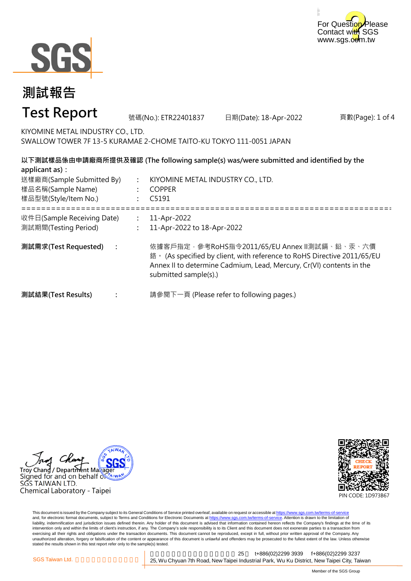



#### 頁數(Page): 1 of 4 **: : :** ===================================================================================================== **: : : 測試需求(Test Requested) :** 11-Apr-2022 11-Apr-2022 to 18-Apr-2022 依據客戶指定,參考RoHS指令2011/65/EU Annex II測試鎘、鉛、汞、六價 鉻。 (As specified by client, with reference to RoHS Directive 2011/65/EU Annex II to determine Cadmium, Lead, Mercury, Cr(VI) contents in the submitted sample(s).) 請參閱下一頁 (Please refer to following pages.) **以下測試樣品係由申請廠商所提供及確認 (The following sample(s) was/were submitted and identified by the applicant as):** KIYOMINE METAL INDUSTRY CO., LTD. COPPER C5191 **測試結果(Test Results)** 樣品名稱(Sample Name) 樣品型號(Style/Item No.) 送樣廠商(Sample Submitted By) 收件日(Sample Receiving Date) 測試期間(Testing Period) 號碼(No.): ETR22401837 日期(Date): 18-Apr-2022 **測試報告 Test Report** KIYOMINE METAL INDUSTRY CO., LTD. SWALLOW TOWER 7F 13-5 KURAMAE 2-CHOME TAITO-KU TOKYO 111-0051 JAPAN

Troy Chang / Department Maka Signed for and on behalf  $\delta$ SGS TAIWAN LTD. Chemical Laboratory - Taipei



This document is issued by the Company subject to its General Conditions of Service printed overleaf, available on request or accessible at https://www.sgs.com.tw/terms-of-service and, for electronic format documents, subject to Terms and Conditions for Electronic Documents at https://www.sgs.com.tw/terms-of-service. Attention is drawn to the limitation of liability, indemnification and jurisdiction issues defined therein. Any holder of this document is advised that information contained hereon reflects the Company's findings at the time of its intervention only and within the limits of client's instruction, if any. The Company's sole responsibility is to its Client and this document does not exonerate parties to a transaction from exercising all their rights and obligations under the transaction documents. This document cannot be reproduced, except in full, without prior written approval of the Company. Any<br>unauthorized alteration, forgery or falsif stated the results shown in this test report refer only to the sample(s) tested.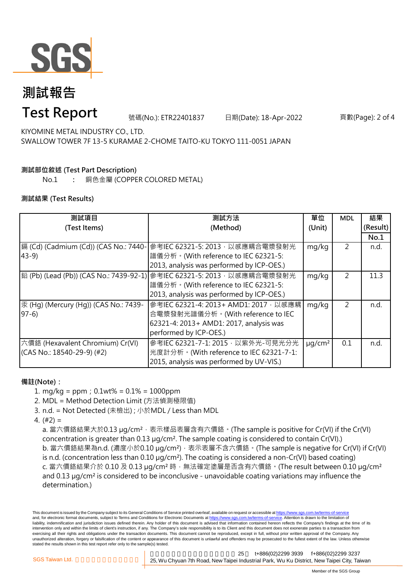

# **測試報告**

### **Test Report**

號碼(No.): ETR22401837 日期(Date): 18-Apr-2022 頁數(Page): 2 of 4

KIYOMINE METAL INDUSTRY CO., LTD. SWALLOW TOWER 7F 13-5 KURAMAE 2-CHOME TAITO-KU TOKYO 111-0051 JAPAN

### **測試部位敘述 (Test Part Description)**

No.1 **:** 銅色金屬 (COPPER COLORED METAL)

### **測試結果 (Test Results)**

| 測試項目                                  | 測試方法                                                                   | 單位                      | <b>MDL</b>     | 結果       |
|---------------------------------------|------------------------------------------------------------------------|-------------------------|----------------|----------|
| (Test Items)                          | (Method)                                                               | (Unit)                  |                | (Result) |
|                                       |                                                                        |                         |                | No.1     |
| 鎘 (Cd) (Cadmium (Cd)) (CAS No.: 7440- | 參考IEC 62321-5: 2013, 以感應耦合電漿發射光                                        | mg/kg                   | 2              | n.d.     |
| $43-9$                                | 譜儀分析。(With reference to IEC 62321-5:                                   |                         |                |          |
|                                       | 2013, analysis was performed by ICP-OES.)                              |                         |                |          |
|                                       | 鉛 (Pb) (Lead (Pb)) (CAS No.: 7439-92-1) 參考IEC 62321-5: 2013,以感應耦合電漿發射光 | mg/kg                   | $\overline{2}$ | 11.3     |
|                                       | 譜儀分析。(With reference to IEC 62321-5:                                   |                         |                |          |
|                                       | 2013, analysis was performed by ICP-OES.)                              |                         |                |          |
| 汞 (Hg) (Mercury (Hg)) (CAS No.: 7439- | 參考IEC 62321-4: 2013+ AMD1: 2017, 以感應耦                                  | mg/kg                   | 2              | n.d.     |
| $97-6$                                | 合電漿發射光譜儀分析。(With reference to IEC                                      |                         |                |          |
|                                       | 62321-4: 2013+ AMD1: 2017, analysis was                                |                         |                |          |
|                                       | performed by ICP-OES.)                                                 |                         |                |          |
| 六價鉻 (Hexavalent Chromium) Cr(VI)      | 參考IEC 62321-7-1: 2015, 以紫外光-可見光分光                                      | $\mu$ g/cm <sup>2</sup> | 0.1            | n.d.     |
| (CAS No.: 18540-29-9) (#2)            | 光度計分析。(With reference to IEC 62321-7-1:                                |                         |                |          |
|                                       | 2015, analysis was performed by UV-VIS.)                               |                         |                |          |

### **備註(Note):**

1. mg/kg = ppm;0.1wt% = 0.1% = 1000ppm

2. MDL = Method Detection Limit (方法偵測極限值)

- 3. n.d. = Not Detected (未檢出) ; 小於MDL / Less than MDL
- 4. (#2) =

a. 當六價鉻結果大於0.13 μg/cm<sup>2</sup>,表示樣品表層含有六價鉻。(The sample is positive for Cr(VI) if the Cr(VI) concentration is greater than 0.13 µg/cm². The sample coating is considered to contain Cr(VI).) b. 當六價鉻結果為n.d. (濃度小於0.10 μg/cm<sup>2</sup>), 表示表層不含六價鉻。(The sample is negative for Cr(VI) if Cr(VI) is n.d. (concentration less than 0.10 µg/cm²). The coating is considered a non-Cr(VI) based coating) c. 當六價鉻結果介於 0.10 及 0.13 µg/cm<sup>2</sup> 時, 無法確定塗層是否含有六價鉻。(The result between 0.10 µg/cm<sup>2</sup> and 0.13 µg/cm² is considered to be inconclusive - unavoidable coating variations may influence the determination.)

This document is issued by the Company subject to its General Conditions of Service printed overleaf, available on request or accessible at https://www.sgs.com.tw/terms-of-service and, for electronic format documents, subject to Terms and Conditions for Electronic Documents at https://www.sgs.com.tw/terms-of-service. Attention is drawn to the limitation of liability, indemnification and jurisdiction issues defined therein. Any holder of this document is advised that information contained hereon reflects the Company's findings at the time of its intervention only and within the limits of client's instruction, if any. The Company's sole responsibility is to its Client and this document does not exonerate parties to a transaction from exercising all their rights and obligations under the transaction documents. This document cannot be reproduced, except in full, without prior written approval of the Company. Any unauthorized alteration, forgery or falsification of the content or appearance of this document is unlawful and offenders may be prosecuted to the fullest extent of the law. Unless otherwise stated the results shown in this test report refer only to the sample(s) tested.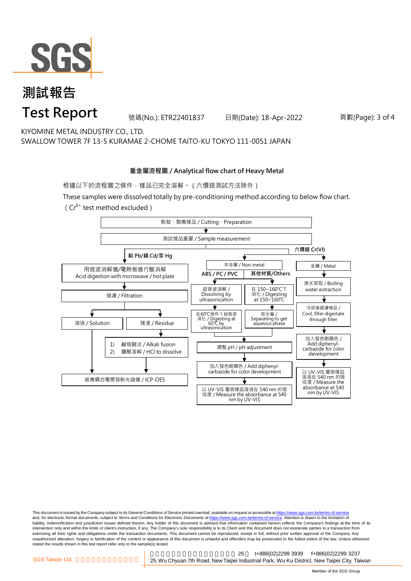

## **測試報告 Test Report**

號碼(No.): ETR22401837 日期(Date): 18-Apr-2022 頁數(Page): 3 of 4

KIYOMINE METAL INDUSTRY CO., LTD. SWALLOW TOWER 7F 13-5 KURAMAE 2-CHOME TAITO-KU TOKYO 111-0051 JAPAN

#### **重金屬流程圖 / Analytical flow chart of Heavy Metal**

根據以下的流程圖之條件,樣品已完全溶解。(六價鉻測試方法除外)

These samples were dissolved totally by pre-conditioning method according to below flow chart. ( $Cr^{6+}$  test method excluded)



This document is issued by the Company subject to its General Conditions of Service printed overleaf, available on request or accessible at https://www.sgs.com.tw/terms-of-service and, for electronic format documents, subject to Terms and Conditions for Electronic Documents at https://www.sgs.com.tw/terms-of-service. Attention is drawn to the limitation of liability, indemnification and jurisdiction issues defined therein. Any holder of this document is advised that information contained hereon reflects the Company's findings at the time of its intervention only and within the limits of client's instruction, if any. The Company's sole responsibility is to its Client and this document does not exonerate parties to a transaction from exercising all their rights and obligations under the transaction documents. This document cannot be reproduced, except in full, without prior written approval of the Company. Any<br>unauthorized alteration, forgery or falsif stated the results shown in this test report refer only to the sample(s) tested.